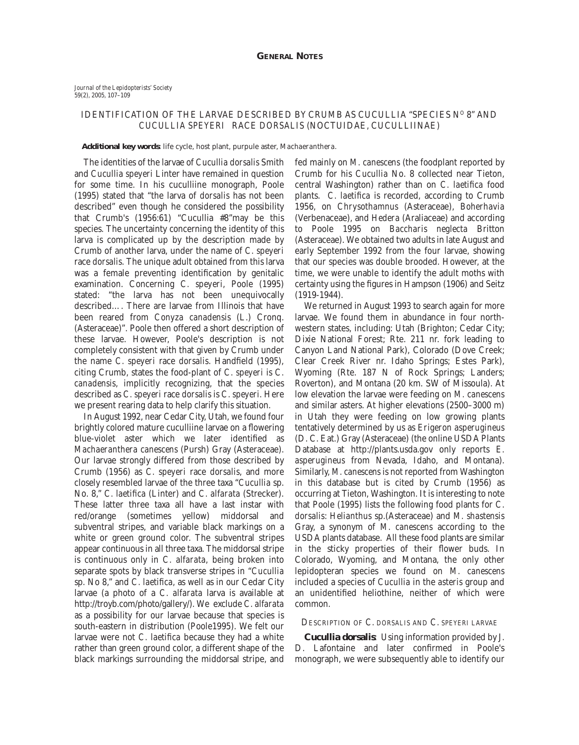## IDENTIFICATION OF THE LARVAE DESCRIBED BY CRUMB AS CUCULLIA "SPECIES NO 8" AND *CUCULLIA SPEYERI* RACE *DORSALIS* (NOCTUIDAE, CUCULLIINAE)

## **Additional key words**: life cycle, host plant, purpule aster, *Machaeranthera*.

The identities of the larvae of *Cucullia dorsalis* Smith and *Cucullia speyeri* Linter have remained in question for some time. In his cuculliine monograph, Poole (1995) stated that "the larva of *dorsalis* has not been described" even though he considered the possibility that Crumb's (1956:61) "Cucullia #8"may be this species. The uncertainty concerning the identity of this larva is complicated up by the description made by Crumb of another larva, under the name of *C. speyeri* race *dorsalis*. The unique adult obtained from this larva was a female preventing identification by genitalic examination. Concerning *C. speyeri*, Poole (1995) stated: "the larva has not been unequivocally described…. There are larvae from Illinois that have been reared from *Conyza canadensis* (L.) Cronq. (Asteraceae)". Poole then offered a short description of these larvae. However, Poole's description is not completely consistent with that given by Crumb under the name *C. speyeri* race *dorsalis*. Handfield (1995), citing Crumb, states the food-plant of *C. speyeri* is *C. canadensis*, implicitly recognizing, that the species described as *C. speyeri* race *dorsalis* is *C. speyeri*. Here we present rearing data to help clarify this situation.

In August 1992, near Cedar City, Utah, we found four brightly colored mature cuculliine larvae on a flowering blue-violet aster which we later identified as *Machaeranthera canescens* (Pursh) Gray (Asteraceae). Our larvae strongly differed from those described by Crumb (1956) as *C. speyeri* race *dorsalis*, and more closely resembled larvae of the three taxa "*Cucullia* sp. No. 8," *C. laetifica* (Linter) and *C. alfarata* (Strecker). These latter three taxa all have a last instar with red/orange (sometimes yellow) middorsal and subventral stripes, and variable black markings on a white or green ground color. The subventral stripes appear continuous in all three taxa. The middorsal stripe is continuous only in *C. alfarata*, being broken into separate spots by black transverse stripes in "*Cucullia* sp. No 8," and *C. laetifica*, as well as in our Cedar City larvae (a photo of a *C. alfarata* larva is available at http://troyb.com/photo/gallery/). We exclude *C. alfarata* as a possibility for our larvae because that species is south-eastern in distribution (Poole1995). We felt our larvae were not *C. laetifica* because they had a white rather than green ground color, a different shape of the black markings surrounding the middorsal stripe, and

fed mainly on *M. canescens* (the foodplant reported by Crumb for his *Cucullia* No. 8 collected near Tieton, central Washington) rather than on *C. laetifica* food plants. *C. laetifica* is recorded, according to Crumb 1956, on *Chrysothamnus* (Asteraceae), *Boherhavia* (Verbenaceae), and *Hedera* (Araliaceae) and according to Poole 1995 on *Baccharis neglecta* Britton (Asteraceae). We obtained two adults in late August and early September 1992 from the four larvae, showing that our species was double brooded. However, at the time, we were unable to identify the adult moths with certainty using the figures in Hampson (1906) and Seitz (1919-1944).

We returned in August 1993 to search again for more larvae. We found them in abundance in four northwestern states, including: Utah (Brighton; Cedar City; Dixie National Forest; Rte. 211 nr. fork leading to Canyon Land National Park), Colorado (Dove Creek; Clear Creek River nr. Idaho Springs; Estes Park), Wyoming (Rte. 187 N of Rock Springs; Landers; Roverton), and Montana (20 km. SW of Missoula). At low elevation the larvae were feeding on *M. canescens* and similar asters. At higher elevations (2500–3000 m) in Utah they were feeding on low growing plants tentatively determined by us as *Erigeron asperugineus* (D. C. Eat.) Gray (Asteraceae) (the online USDA Plants Database at http://plants.usda.gov only reports *E. asperugineus* from Nevada, Idaho, and Montana). Similarly, *M. canescens* is not reported from Washington in this database but is cited by Crumb (1956) as occurring at Tieton, Washington. It is interesting to note that Poole (1995) lists the following food plants for *C*. *dorsalis*: *Helianthus* sp.(Asteraceae) and *M. shastensis* Gray, a synonym of *M. canescens* according to the USDA plants database. All these food plants are similar in the sticky properties of their flower buds. In Colorado, Wyoming, and Montana, the only other lepidopteran species we found on *M. canescens* included a species of *Cucullia* in the *asteris* group and an unidentified heliothine, neither of which were common.

## DESCRIPTION OF *C. DORSALIS* AND *C. SPEYERI* LARVAE

*Cucullia dorsalis:* Using information provided by J. D. Lafontaine and later confirmed in Poole's monograph, we were subsequently able to identify our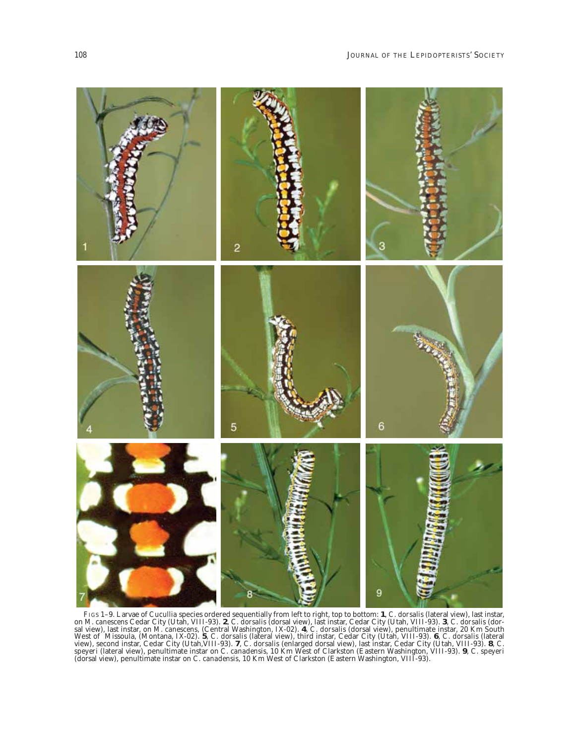

FIGS 1–9. Larvae of *Cucullia* species ordered sequentially from left to right, top to bottom: **1**, *C. dorsalis* (lateral view), last instar, on *M. canescens* Cedar City (Utah, VIII-93). **2**, *C. dorsalis* (dorsal view), last instar, Cedar City (Utah, VIII-93). **3**, *C. dorsalis* (dor-<br>sal view), last instar, on *M. canescens*, (Central Washington, IX-02). **4**, view), second instar, Cedar City (Utah,VIII-93). **7**, *C. dorsalis* (enlarged dorsal view), last instar, Cedar City (Utah, VIII-93). **8**, *C. speyeri* (lateral view), penultimate instar on *C. canadensis*, 10 Km West of Clarkston (Eastern Washington, VIII-93). **9**, *C. speyeri* (dorsal view), penultimate instar on *C. canadensis*, 10 Km West of Clarkston (Eastern Washington, VIII-93).